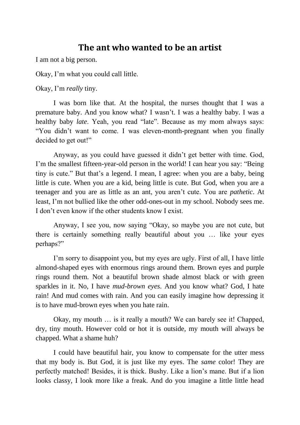#### **The ant who wanted to be an artist**

I am not a big person.

Okay, I'm what you could call little.

Okay, I'm *really* tiny.

I was born like that. At the hospital, the nurses thought that I was a premature baby. And you know what? I wasn't. I was a healthy baby. I was a healthy baby *late*. Yeah, you read "late". Because as my mom always says: "You didn't want to come. I was eleven-month-pregnant when you finally decided to get out!"

Anyway, as you could have guessed it didn't get better with time. God, I'm the smallest fifteen-year-old person in the world! I can hear you say: "Being tiny is cute." But that's a legend. I mean, I agree: when you are a baby, being little is cute. When you are a kid, being little is cute. But God, when you are a teenager and you are as little as an ant, you aren't cute. You are *pathetic*. At least, I'm not bullied like the other odd-ones-out in my school. Nobody sees me. I don't even know if the other students know I exist.

Anyway, I see you, now saying "Okay, so maybe you are not cute, but there is certainly something really beautiful about you … like your eyes perhaps?"

I'm sorry to disappoint you, but my eyes are ugly. First of all, I have little almond-shaped eyes with enormous rings around them. Brown eyes and purple rings round them. Not a beautiful brown shade almost black or with green sparkles in it. No, I have *mud-brown eyes*. And you know what? God, I hate rain! And mud comes with rain. And you can easily imagine how depressing it is to have mud-brown eyes when you hate rain.

Okay, my mouth … is it really a mouth? We can barely see it! Chapped, dry, tiny mouth. However cold or hot it is outside, my mouth will always be chapped. What a shame huh?

I could have beautiful hair, you know to compensate for the utter mess that my body is. But God, it is just like my eyes. The *same* color! They are perfectly matched! Besides, it is thick. Bushy. Like a lion's mane. But if a lion looks classy, I look more like a freak. And do you imagine a little little head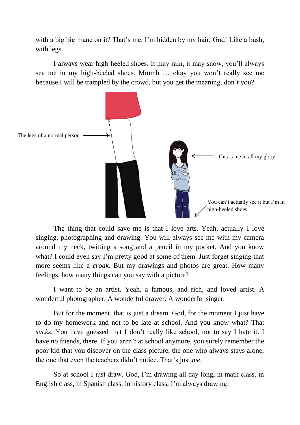with a big big mane on it? That's me. I'm hidden by my hair, God! Like a bush, with legs.

I always wear high-heeled shoes. It may rain, it may snow, you'll always see me in my high-heeled shoes. Mmmh … okay you won't really see me because I will be trampled by the crowd, but you get the meaning, don't you?



The thing that could save me is that I love arts. Yeah, actually I love singing, photographing and drawing. You will always see me with my camera around my neck, twitting a song and a pencil in my pocket. And you know what? I could even say I'm pretty good at some of them. Just forget singing that more seems like a *croak*. But my drawings and photos are great. How many feelings, how many things can you say with a picture?

I want to be an artist. Yeah, a famous, and rich, and loved artist. A wonderful photographer. A wonderful drawer. A wonderful singer.

But for the moment, that is just a dream. God, for the moment I just have to do my homework and not to be late at school. And you know what? That *sucks*. You have guessed that I don't really like school, not to say I hate it. I have no friends, there. If you aren't at school anymore, you surely remember the poor kid that you discover on the class picture, the one who always stays alone, the one that even the teachers didn't notice. That's just *me*.

So at school I just draw. God, I'm drawing all day long, in math class, in English class, in Spanish class, in history class, I'm always drawing.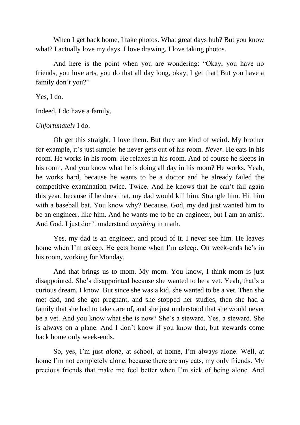When I get back home, I take photos. What great days huh? But you know what? I actually love my days. I love drawing. I love taking photos.

And here is the point when you are wondering: "Okay, you have no friends, you love arts, you do that all day long, okay, I get that! But you have a family don't you?"

Yes, I do.

Indeed, I do have a family.

*Unfortunately* I do.

Oh get this straight, I love them. But they are kind of weird. My brother for example, it's just simple: he never gets out of his room. *Never*. He eats in his room. He works in his room. He relaxes in his room. And of course he sleeps in his room. And you know what he is doing all day in his room? He works. Yeah, he works hard, because he wants to be a doctor and he already failed the competitive examination twice. Twice. And he knows that he can't fail again this year, because if he does that, my dad would kill him. Strangle him. Hit him with a baseball bat. You know why? Because, God, my dad just wanted him to be an engineer, like him. And he wants me to be an engineer, but I am an artist. And God, I just don't understand *anything* in math.

Yes, my dad is an engineer, and proud of it. I never see him. He leaves home when I'm asleep. He gets home when I'm asleep. On week-ends he's in his room, working for Monday.

And that brings us to mom. My mom. You know, I think mom is just disappointed. She's disappointed because she wanted to be a vet. Yeah, that's a curious dream, I know. But since she was a kid, she wanted to be a vet. Then she met dad, and she got pregnant, and she stopped her studies, then she had a family that she had to take care of, and she just understood that she would never be a vet. And you know what she is now? She's a steward. Yes, a steward. She is always on a plane. And I don't know if you know that, but stewards come back home only week-ends.

So, yes, I'm just *alone*, at school, at home, I'm always alone. Well, at home I'm not completely alone, because there are my cats, my only friends. My precious friends that make me feel better when I'm sick of being alone. And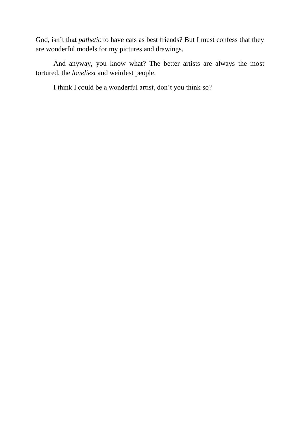God, isn't that *pathetic* to have cats as best friends? But I must confess that they are wonderful models for my pictures and drawings.

And anyway, you know what? The better artists are always the most tortured, the *loneliest* and weirdest people.

I think I could be a wonderful artist, don't you think so?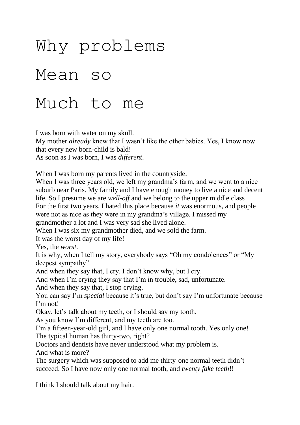# Why problems Mean so Much to me

I was born with water on my skull.

My mother *already* knew that I wasn't like the other babies. Yes, I know now that every new born-child is bald!

As soon as I was born, I was *different*.

When I was born my parents lived in the countryside.

When I was three years old, we left my grandma's farm, and we went to a nice suburb near Paris. My family and I have enough money to live a nice and decent life. So I presume we are *well-off* and we belong to the upper middle class For the first two years, I hated this place because *it* was enormous, and people were not as nice as they were in my grandma's village. I missed my grandmother a lot and I was very sad she lived alone.

When I was six my grandmother died, and we sold the farm.

It was the worst day of my life!

Yes, the *worst*.

It is why, when I tell my story, everybody says "Oh my condolences" or "My deepest sympathy".

And when they say that, I cry. I don't know why, but I cry.

And when I'm crying they say that I'm in trouble, sad, unfortunate.

And when they say that, I stop crying.

You can say I'm *special* because it's true, but don't say I'm unfortunate because I'm not!

Okay, let's talk about my teeth, or I should say my tooth.

As you know I'm different, and my teeth are too.

I'm a fifteen-year-old girl, and I have only one normal tooth. Yes only one! The typical human has thirty-two, right?

Doctors and dentists have never understood what my problem is.

And what is more?

The surgery which was supposed to add me thirty-one normal teeth didn't succeed. So I have now only one normal tooth, and *twenty fake teeth*!!

I think I should talk about my hair.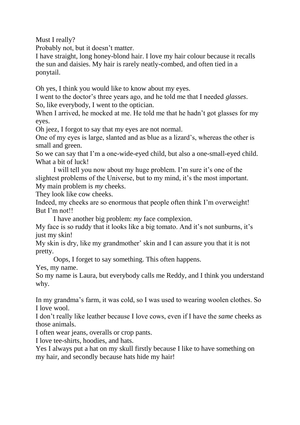Must I really?

Probably not, but it doesn't matter.

I have straight, long honey-blond hair. I love my hair colour because it recalls the sun and daisies. My hair is rarely neatly-combed, and often tied in a ponytail.

Oh yes, I think you would like to know about my eyes.

I went to the doctor's three years ago, and he told me that I needed *glasses*. So, like everybody, I went to the optician.

When I arrived, he mocked at me. He told me that he hadn't got glasses for my eyes.

Oh jeez, I forgot to say that my eyes are not normal.

One of my eyes is large, slanted and as blue as a lizard's, whereas the other is small and green.

So we can say that I'm a one-wide-eyed child, but also a one-small-eyed child. What a bit of luck!

I will tell you now about my huge problem. I'm sure it's one of the slightest problems of the Universe, but to my mind, it's the most important. My main problem is *my* cheeks.

They look like cow cheeks.

Indeed, my cheeks are so enormous that people often think I'm overweight! But I'm not!!

I have another big problem: *my* face complexion.

My face is so ruddy that it looks like a big tomato. And it's not sunburns, it's just my skin!

My skin is dry, like my grandmother' skin and I can assure you that it is not pretty.

Oops, I forget to say something. This often happens.

Yes, my name.

So my name is Laura, but everybody calls me Reddy, and I think you understand why.

In my grandma's farm, it was cold, so I was used to wearing woolen clothes. So I love wool.

I don't really like leather because I love cows, even if I have the *same* cheeks as those animals.

I often wear jeans, overalls or crop pants.

I love tee-shirts, hoodies, and hats.

Yes I always put a hat on my skull firstly because I like to have something on my hair, and secondly because hats hide my hair!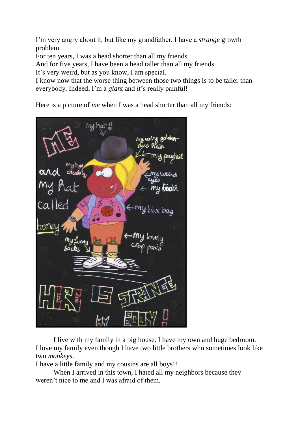I'm very angry about it, but like my grandfather, I have a *strange* growth problem.

For ten years, I was a head shorter than all my friends.

And for five years, I have been a head taller than all my friends.

It's very weird, but as you know, I am special.

I know now that the worse thing between those two things is to be taller than everybody. Indeed, I'm a *giant* and it's really painful!

Here is a picture of *me* when I was a head shorter than all my friends:



I live with my family in a big house. I have my own and huge bedroom. I love my family even though I have two little brothers who sometimes look like two *monkeys*.

I have a little family and my cousins are all boys!!

When I arrived in this town, I hated all my neighbors because they weren't nice to me and I was afraid of them.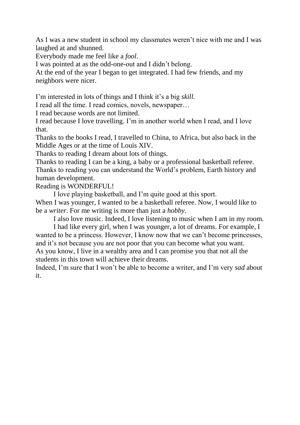As I was a new student in school my classmates weren't nice with me and I was laughed at and shunned.

Everybody made me feel like a *fool*.

I was pointed at as the odd-one-out and I didn't belong.

At the end of the year I began to get integrated. I had few friends, and my neighbors were nicer.

I'm interested in lots of things and I think it's a big *skill.*

I read all the time. I read comics, novels, newspaper…

I read because words are not limited.

I read because I love travelling. I'm in another world when I read, and I love that.

Thanks to the books I read, I travelled to China, to Africa, but also back in the Middle Ages or at the time of Louis XIV.

Thanks to reading I dream about lots of things.

Thanks to reading I can be a king, a baby or a professional basketball referee. Thanks to reading you can understand the World's problem, Earth history and human development.

Reading is WONDERFUL!

I love playing basketball, and I'm quite good at this sport.

When I was younger, I wanted to be a basketball referee. Now, I would like to be a *writer*. For me writing is more than just a *hobby*.

I also love music. Indeed, I love listening to music when I am in my room.

I had like every girl, when I was younger, a lot of dreams. For example, I wanted to be a princess. However, I know now that we can't become princesses, and it's not because you are not poor that you can become what you want. As you know, I live in a wealthy area and I can promise you that not all the students in this town will achieve their dreams.

Indeed, I'm sure that I won't be able to become a writer, and I'm very *sad* about it.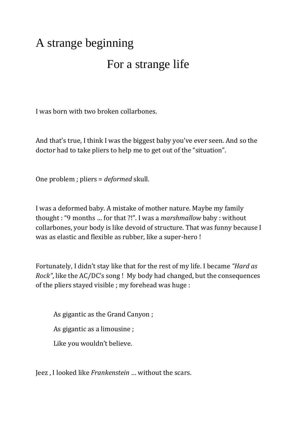## A strange beginning

### For a strange life

I was born with two broken collarbones.

And that's true, I think I was the biggest baby you've ever seen. And so the doctor had to take pliers to help me to get out of the "situation".

One problem ; pliers = *deformed* skull.

I was a deformed baby. A mistake of mother nature. Maybe my family thought : "9 months … for that ?!". I was a *marshmallow* baby : without collarbones, your body is like devoid of structure. That was funny because I was as elastic and flexible as rubber, like a super-hero !

Fortunately, I didn't stay like that for the rest of my life. I became *"Hard as Rock"*, like the AC/DC's song ! My body had changed, but the consequences of the pliers stayed visible ; my forehead was huge :

As gigantic as the Grand Canyon ;

As gigantic as a limousine ;

Like you wouldn't believe.

Jeez , I looked like *Frankenstein* … without the scars.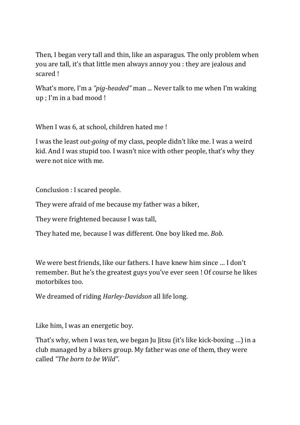Then, I began very tall and thin, like an asparagus. The only problem when you are tall, it's that little men always annoy you : they are jealous and scared !

What's more, I'm a *"pig-headed"* man ... Never talk to me when I'm waking up ; I'm in a bad mood !

When I was 6, at school, children hated me !

I was the least *out-going* of my class, people didn't like me. I was a weird kid. And I was stupid too. I wasn't nice with other people, that's why they were not nice with me.

Conclusion : I scared people.

They were afraid of me because my father was a biker,

They were frightened because I was tall,

They hated me, because I was different. One boy liked me. *Bob*.

We were best friends, like our fathers. I have knew him since … I don't remember. But he's the greatest guys you've ever seen ! Of course he likes motorbikes too.

We dreamed of riding *Harley-Davidson* all life long.

Like him, I was an energetic boy.

That's why, when I was ten, we began Ju Jitsu (it's like kick-boxing …) in a club managed by a bikers group. My father was one of them, they were called *"The born to be Wild"*.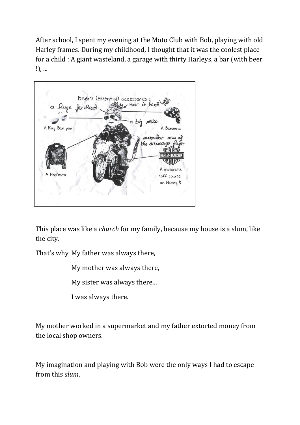After school, I spent my evening at the Moto Club with Bob, playing with old Harley frames. During my childhood, I thought that it was the coolest place for a child : A giant wasteland, a garage with thirty Harleys, a bar (with beer !), ...



This place was like a *church* for my family, because my house is a slum, like the city.

That's why My father was always there,

My mother was always there,

My sister was always there...

I was always there.

My mother worked in a supermarket and my father extorted money from the local shop owners.

My imagination and playing with Bob were the only ways I had to escape from this *slum*.